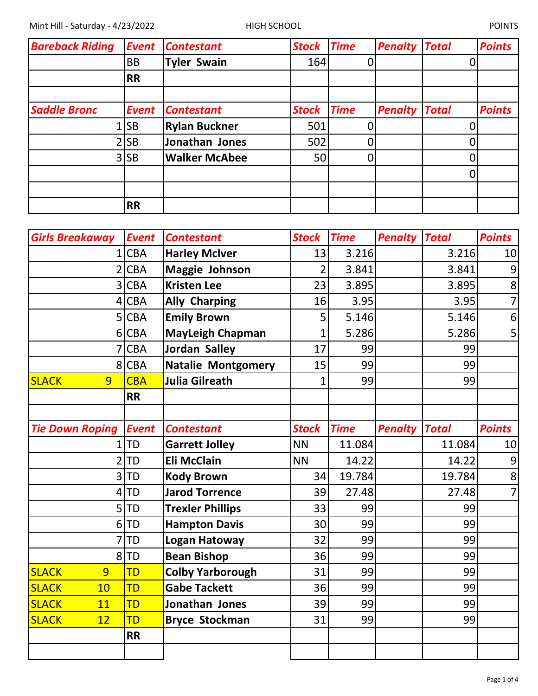| <b>Bareback Riding</b> | <b>Event</b> | <b>Contestant</b>    | <b>Stock</b> | <b>Time</b> | <b>Penalty</b> | <b>Total</b> | <b>Points</b> |
|------------------------|--------------|----------------------|--------------|-------------|----------------|--------------|---------------|
|                        | <b>BB</b>    | <b>Tyler Swain</b>   | 164          |             |                |              |               |
|                        | <b>RR</b>    |                      |              |             |                |              |               |
|                        |              |                      |              |             |                |              |               |
| <b>Saddle Bronc</b>    | <b>Event</b> | <b>Contestant</b>    | <b>Stock</b> | <b>Time</b> | <b>Penalty</b> | <b>Total</b> | <b>Points</b> |
|                        | 1 SB         | <b>Rylan Buckner</b> | 501          |             |                |              |               |
|                        | 2 SB         | Jonathan Jones       | 502          |             |                |              |               |
|                        | $3$ SB       | <b>Walker McAbee</b> | 50           |             |                |              |               |
|                        |              |                      |              |             |                | 0            |               |
|                        |              |                      |              |             |                |              |               |
|                        | <b>RR</b>    |                      |              |             |                |              |               |

| <b>Girls Breakaway</b> | <b>Event</b> | <b>Contestant</b>         | <b>Stock</b>   | <b>Time</b> | <b>Penalty</b> | <b>Total</b> | <b>Points</b>    |
|------------------------|--------------|---------------------------|----------------|-------------|----------------|--------------|------------------|
| $\mathbf{1}$           | <b>CBA</b>   | <b>Harley McIver</b>      | 13             | 3.216       |                | 3.216        | 10               |
| $\overline{2}$         | <b>CBA</b>   | <b>Maggie Johnson</b>     | $\overline{2}$ | 3.841       |                | 3.841        | 9                |
| 3                      | <b>CBA</b>   | <b>Kristen Lee</b>        | 23             | 3.895       |                | 3.895        | $\bf 8$          |
| 4                      | <b>CBA</b>   | <b>Ally Charping</b>      | 16             | 3.95        |                | 3.95         | $\overline{7}$   |
| 5                      | <b>CBA</b>   | <b>Emily Brown</b>        | 5              | 5.146       |                | 5.146        | $\boldsymbol{6}$ |
| $6 \overline{6}$       | <b>CBA</b>   | <b>MayLeigh Chapman</b>   | $\overline{1}$ | 5.286       |                | 5.286        | 5                |
| 7                      | <b>CBA</b>   | Jordan Salley             | 17             | 99          |                | 99           |                  |
| 8                      | <b>CBA</b>   | <b>Natalie Montgomery</b> | 15             | 99          |                | 99           |                  |
| <b>SLACK</b><br>9      | <b>CBA</b>   | <b>Julia Gilreath</b>     | 1              | 99          |                | 99           |                  |
|                        | <b>RR</b>    |                           |                |             |                |              |                  |
|                        |              |                           |                |             |                |              |                  |
| <b>Tie Down Roping</b> | <b>Event</b> | <b>Contestant</b>         | <b>Stock</b>   | <b>Time</b> | <b>Penalty</b> | <b>Total</b> | <b>Points</b>    |
| 1                      | <b>TD</b>    | <b>Garrett Jolley</b>     | <b>NN</b>      | 11.084      |                | 11.084       | 10               |
| $\overline{2}$         | TD           | <b>Eli McClain</b>        | <b>NN</b>      | 14.22       |                | 14.22        | 9                |
| 3                      | <b>TD</b>    | <b>Kody Brown</b>         | 34             | 19.784      |                | 19.784       | 8                |
| 4                      | TD           | <b>Jarod Torrence</b>     | 39             | 27.48       |                | 27.48        | $\overline{7}$   |
| 5                      | <b>TD</b>    | <b>Trexler Phillips</b>   | 33             | 99          |                | 99           |                  |
| 6                      | TD           | <b>Hampton Davis</b>      | 30             | 99          |                | 99           |                  |
| 7                      | <b>TD</b>    | <b>Logan Hatoway</b>      | 32             | 99          |                | 99           |                  |
| 8                      | TD           | <b>Bean Bishop</b>        | 36             | 99          |                | 99           |                  |
| <b>SLACK</b><br>9      | <b>TD</b>    | <b>Colby Yarborough</b>   | 31             | 99          |                | 99           |                  |
| <b>SLACK</b><br>10     | <b>TD</b>    | <b>Gabe Tackett</b>       | 36             | 99          |                | 99           |                  |
| <b>SLACK</b><br>11     | <b>TD</b>    | Jonathan Jones            | 39             | 99          |                | 99           |                  |
| <b>SLACK</b><br>12     | <b>TD</b>    | <b>Bryce Stockman</b>     | 31             | 99          |                | 99           |                  |
|                        | <b>RR</b>    |                           |                |             |                |              |                  |
|                        |              |                           |                |             |                |              |                  |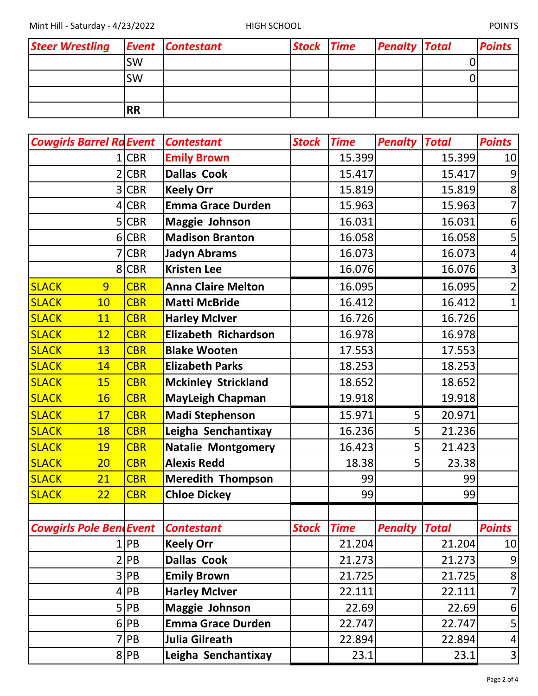Mint Hill - Saturday - 4/23/2022 HIGH SCHOOL HIGH SCHOOL POINTS

| Steer Wrestling Event Contestant |           | <b>Stock Time</b> | <b>Penalty Total</b> | <b>Points</b> |
|----------------------------------|-----------|-------------------|----------------------|---------------|
|                                  | <b>SW</b> |                   |                      |               |
|                                  | <b>SW</b> |                   |                      |               |
|                                  |           |                   |                      |               |
|                                  | <b>RR</b> |                   |                      |               |

| <b>Cowgirls Barrel Ra Event</b>            |            | <b>Contestant</b>          | <b>Stock</b> | <b>Time</b>       | <b>Penalty</b>       | <b>Total</b> | <b>Points</b>           |
|--------------------------------------------|------------|----------------------------|--------------|-------------------|----------------------|--------------|-------------------------|
|                                            | <b>CBR</b> | <b>Emily Brown</b>         |              | 15.399            |                      | 15.399       | 10                      |
|                                            | <b>CBR</b> | <b>Dallas Cook</b>         |              | 15.417            |                      | 15.417       | 9                       |
| 3                                          | <b>CBR</b> | <b>Keely Orr</b>           |              | 15.819            |                      | 15.819       | 8                       |
| 4                                          | <b>CBR</b> | <b>Emma Grace Durden</b>   |              | 15.963            |                      | 15.963       | $\overline{7}$          |
| 5                                          | <b>CBR</b> | <b>Maggie Johnson</b>      |              | 16.031            |                      | 16.031       | $\boldsymbol{6}$        |
|                                            | 6 CBR      | <b>Madison Branton</b>     |              | 16.058            |                      | 16.058       | 5                       |
|                                            | <b>CBR</b> | <b>Jadyn Abrams</b>        |              | 16.073            |                      | 16.073       | $\overline{\mathbf{4}}$ |
|                                            | 8 CBR      | <b>Kristen Lee</b>         |              | 16.076            |                      | 16.076       | $\overline{3}$          |
| <b>SLACK</b><br>9                          | <b>CBR</b> | <b>Anna Claire Melton</b>  |              | 16.095            |                      | 16.095       | $\overline{2}$          |
| <b>SLACK</b><br>10                         | <b>CBR</b> | <b>Matti McBride</b>       |              | 16.412            |                      | 16.412       | $\mathbf{1}$            |
| <b>SLACK</b><br>11                         | <b>CBR</b> | <b>Harley McIver</b>       |              | 16.726            |                      | 16.726       |                         |
| <b>SLACK</b><br>12                         | <b>CBR</b> | Elizabeth Richardson       |              | 16.978            |                      | 16.978       |                         |
| <b>SLACK</b><br>13                         | <b>CBR</b> | <b>Blake Wooten</b>        |              | 17.553            |                      | 17.553       |                         |
| <b>SLACK</b><br>14                         | <b>CBR</b> | <b>Elizabeth Parks</b>     |              | 18.253            |                      | 18.253       |                         |
| <b>SLACK</b><br>15                         | <b>CBR</b> | <b>Mckinley Strickland</b> |              | 18.652            |                      | 18.652       |                         |
| <b>SLACK</b><br><b>16</b>                  | <b>CBR</b> | <b>MayLeigh Chapman</b>    |              | 19.918            |                      | 19.918       |                         |
| <b>SLACK</b><br>17                         | <b>CBR</b> | <b>Madi Stephenson</b>     |              | 15.971            | 5                    | 20.971       |                         |
| <b>SLACK</b><br>18                         | <b>CBR</b> | Leigha Senchantixay        |              | 16.236            | 5                    | 21.236       |                         |
| <b>SLACK</b><br>19                         | <b>CBR</b> | <b>Natalie Montgomery</b>  |              | 16.423            | 5                    | 21.423       |                         |
| <b>SLACK</b><br>20                         | <b>CBR</b> | <b>Alexis Redd</b>         |              | 18.38             | 5                    | 23.38        |                         |
| <b>SLACK</b><br>21                         | <b>CBR</b> | <b>Meredith Thompson</b>   |              | 99                |                      | 99           |                         |
| <b>SLACK</b><br>22                         | <b>CBR</b> | <b>Chloe Dickey</b>        |              | 99                |                      | 99           |                         |
|                                            |            |                            |              |                   |                      |              |                         |
| <b>Cowgirls Pole Bend Event Contestant</b> |            |                            |              | <b>Stock Time</b> | <b>Penalty Total</b> |              | <b>Points</b>           |
|                                            | 1 PB       | <b>Keely Orr</b>           |              | 21.204            |                      | 21.204       | 10                      |
|                                            | 2 PB       | <b>Dallas Cook</b>         |              | 21.273            |                      | 21.273       | $\overline{9}$          |
|                                            | 3 PB       | <b>Emily Brown</b>         |              | 21.725            |                      | 21.725       | 8 <sup>1</sup>          |
|                                            | $4$ PB     | <b>Harley McIver</b>       |              | 22.111            |                      | 22.111       | $\overline{7}$          |
|                                            | 5 PB       | <b>Maggie Johnson</b>      |              | 22.69             |                      | 22.69        | $6 \overline{6}$        |
|                                            | 6 PB       | <b>Emma Grace Durden</b>   |              | 22.747            |                      | 22.747       | 5                       |
|                                            | $7$ $PB$   | Julia Gilreath             |              | 22.894            |                      | 22.894       | $\vert 4 \vert$         |
|                                            | 8 PB       | Leigha Senchantixay        |              | 23.1              |                      | 23.1         | $\overline{3}$          |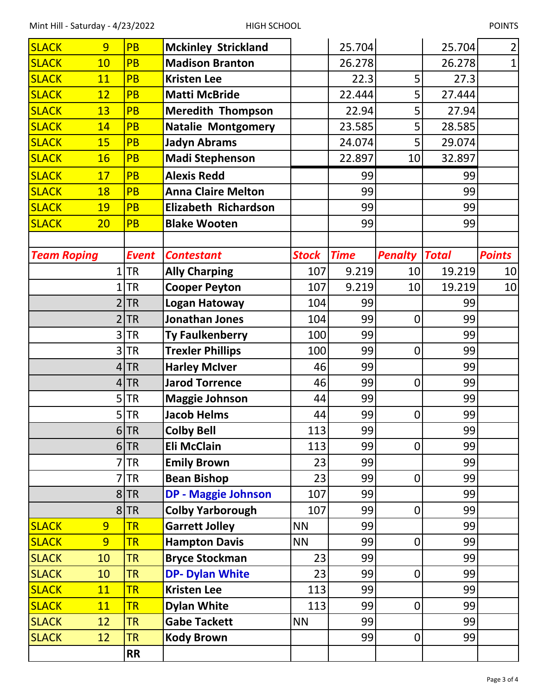| <b>SLACK</b>       | 9  | <b>PB</b>    | <b>Mckinley Strickland</b>  |              | 25.704      |                | 25.704       | $\overline{2}$  |
|--------------------|----|--------------|-----------------------------|--------------|-------------|----------------|--------------|-----------------|
| <b>SLACK</b>       | 10 | <b>PB</b>    | <b>Madison Branton</b>      |              | 26.278      |                | 26.278       | $\mathbf{1}$    |
| <b>SLACK</b>       | 11 | <b>PB</b>    | <b>Kristen Lee</b>          |              | 22.3        | 5              | 27.3         |                 |
| <b>SLACK</b>       | 12 | <b>PB</b>    | <b>Matti McBride</b>        |              | 22.444      | 5              | 27.444       |                 |
| <b>SLACK</b>       | 13 | <b>PB</b>    | <b>Meredith Thompson</b>    |              | 22.94       | 5              | 27.94        |                 |
| <b>SLACK</b>       | 14 | <b>PB</b>    | <b>Natalie Montgomery</b>   |              | 23.585      | 5              | 28.585       |                 |
| <b>SLACK</b>       | 15 | <b>PB</b>    | <b>Jadyn Abrams</b>         |              | 24.074      | 5              | 29.074       |                 |
| <b>SLACK</b>       | 16 | <b>PB</b>    | <b>Madi Stephenson</b>      |              | 22.897      | 10             | 32.897       |                 |
| <b>SLACK</b>       | 17 | <b>PB</b>    | <b>Alexis Redd</b>          |              | 99          |                | 99           |                 |
| <b>SLACK</b>       | 18 | <b>PB</b>    | <b>Anna Claire Melton</b>   |              | 99          |                | 99           |                 |
| <b>SLACK</b>       | 19 | <b>PB</b>    | <b>Elizabeth Richardson</b> |              | 99          |                | 99           |                 |
| <b>SLACK</b>       | 20 | <b>PB</b>    | <b>Blake Wooten</b>         |              | 99          |                | 99           |                 |
|                    |    |              |                             |              |             |                |              |                 |
| <b>Team Roping</b> |    | <b>Event</b> | <b>Contestant</b>           | <b>Stock</b> | <b>Time</b> | <b>Penalty</b> | <b>Total</b> | <b>Points</b>   |
|                    | 1  | <b>TR</b>    | <b>Ally Charping</b>        | 107          | 9.219       | 10             | 19.219       | 10              |
|                    |    | <b>TR</b>    | <b>Cooper Peyton</b>        | 107          | 9.219       | 10             | 19.219       | 10 <sup>1</sup> |
|                    | 2  | <b>TR</b>    | <b>Logan Hatoway</b>        | 104          | 99          |                | 99           |                 |
|                    | 2  | <b>TR</b>    | <b>Jonathan Jones</b>       | 104          | 99          | $\mathbf 0$    | 99           |                 |
|                    | 3  | <b>TR</b>    | <b>Ty Faulkenberry</b>      | 100          | 99          |                | 99           |                 |
|                    | 3  | <b>TR</b>    | <b>Trexler Phillips</b>     | 100          | 99          | $\mathbf 0$    | 99           |                 |
|                    | 4  | <b>TR</b>    | <b>Harley McIver</b>        | 46           | 99          |                | 99           |                 |
|                    | 4  | <b>TR</b>    | <b>Jarod Torrence</b>       | 46           | 99          | $\mathbf 0$    | 99           |                 |
|                    | 5  | <b>TR</b>    | <b>Maggie Johnson</b>       | 44           | 99          |                | 99           |                 |
|                    | 5  | <b>TR</b>    | <b>Jacob Helms</b>          | 44           | 99          | $\mathbf 0$    | 99           |                 |
|                    |    | $6$ TR       | <b>Colby Bell</b>           | 113          | 99          |                | 99           |                 |
|                    | 6  | <b>TR</b>    | <b>Eli McClain</b>          | 113          | 99          | $\mathbf 0$    | 99           |                 |
|                    |    | <b>TR</b>    | <b>Emily Brown</b>          | 23           | 99          |                | 99           |                 |
|                    |    | <b>TR</b>    | <b>Bean Bishop</b>          | 23           | 99          | $\mathbf 0$    | 99           |                 |
|                    | 8  | <b>TR</b>    | <b>DP - Maggie Johnson</b>  | 107          | 99          |                | 99           |                 |
|                    | 8  | <b>TR</b>    | <b>Colby Yarborough</b>     | 107          | 99          | $\mathbf 0$    | 99           |                 |
| <b>SLACK</b>       | 9  | <b>TR</b>    | <b>Garrett Jolley</b>       | <b>NN</b>    | 99          |                | 99           |                 |
| <b>SLACK</b>       | 9  | <b>TR</b>    | <b>Hampton Davis</b>        | <b>NN</b>    | 99          | 0              | 99           |                 |
| <b>SLACK</b>       | 10 | <b>TR</b>    | <b>Bryce Stockman</b>       | 23           | 99          |                | 99           |                 |
| <b>SLACK</b>       | 10 | <b>TR</b>    | <b>DP- Dylan White</b>      | 23           | 99          | 0              | 99           |                 |
| <b>SLACK</b>       | 11 | <b>TR</b>    | <b>Kristen Lee</b>          | 113          | 99          |                | 99           |                 |
| <b>SLACK</b>       | 11 | <b>TR</b>    | <b>Dylan White</b>          | 113          | 99          | 0              | 99           |                 |
| <b>SLACK</b>       | 12 | <b>TR</b>    | <b>Gabe Tackett</b>         | <b>NN</b>    | 99          |                | 99           |                 |
| <b>SLACK</b>       | 12 | <b>TR</b>    | <b>Kody Brown</b>           |              | 99          | $\pmb{0}$      | 99           |                 |
|                    |    | <b>RR</b>    |                             |              |             |                |              |                 |